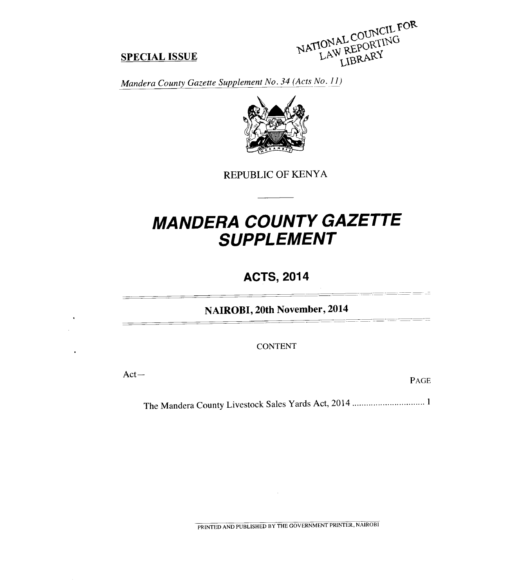**SPECIAL ISSUE**<br>*MATIONAL COUNCIL FOR*<br>*Mandera County Gazette Supplement No. 34 (Acts No. 11)* 

## **SPECIAL ISSUE**



REPUBLIC OF KENYA

# *MANDERA COUNTY GAZETTE SUPPLEMENT*

## **ACTS, 2014**

**NAIROBI, 20th November, 2014** 

**CONTENT** 

Act—<br>
PAGE

The Mandera County Livestock Sales Yards Act, 2014 <sup>1</sup>

PRINTED AND PUBLISHED BY THE GOVERNMENT PRINTER, NAIROBI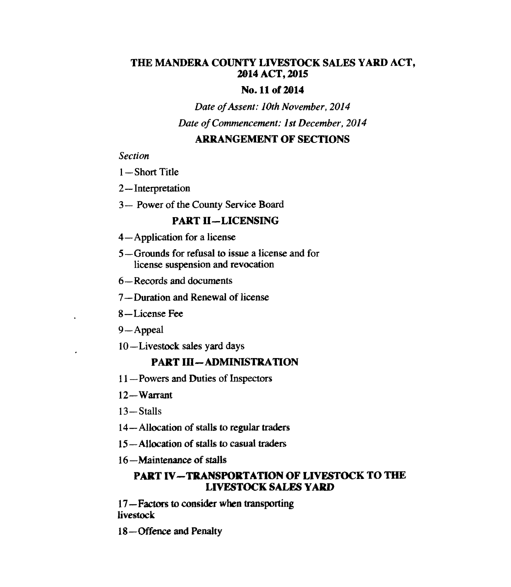## **THE MANDERA COUNTY LIVESTOCK SALES YARD ACT, 2014 ACT, 2015**

## **No. 11 of 2014**

*Date of Assent: 10th November, 2014* 

*Date of Commencement: 1st December, 2014* 

## **ARRANGEMENT OF SECTIONS**

#### *Section*

- *1— Short* Title
- 2—Interpretation
- 3— Power of the County Service Board

## **PART II —LICENSING**

- 4—Application for a license
- 5—Grounds for refusal to issue a license and for license suspension and revocation
- 6—Records and documents
- 7—Duration and Renewal of license
- 8—License Fee
- 9 Appeal
- 10—Livestock sales yard days

## **PART III—ADMINISTRATION**

- 11—Powers and Duties of Inspectors
- 12— Warrant
- 13—Stalls
- 14—Allocation of stalls to regular traders
- 15—Allocation of stalls to casual traders
- 16—Maintenance of stalls

## **PART IV—TRANSPORTATION OF LIVESTOCK TO THE LIVESTOCK SALES YARD**

*17* —Factors to consider *when* transporting livestock

18—Offence and Penalty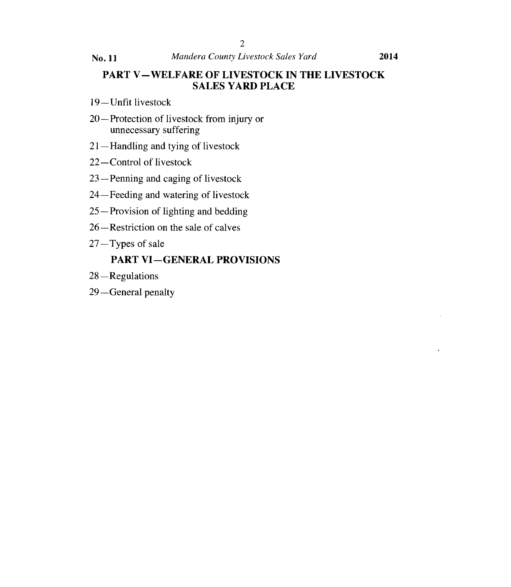## **PART V—WELFARE OF LIVESTOCK IN THE LIVESTOCK SALES YARD PLACE**

- 19—Unfit livestock
- 20—Protection of livestock from injury or unnecessary suffering
- 21—Handling and tying of livestock
- 22—Control of livestock
- 23—Penning and caging of livestock
- 24—Feeding and watering of livestock
- 25—Provision of lighting and bedding
- 26—Restriction on the sale of calves
- 27 —Types of sale

## **PART VI—GENERAL PROVISIONS**

- 28 —Regulations
- 29—General penalty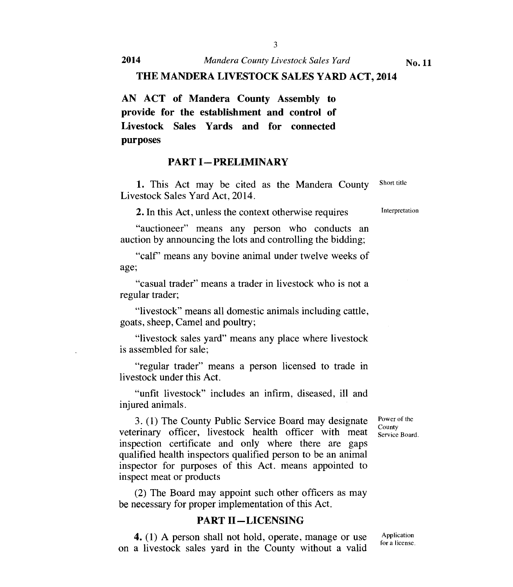**2014** *Mandera County Livestock Sales Yard* **<b>No. 11** 

#### **THE MANDERA LIVESTOCK SALES YARD ACT, 2014**

**AN ACT of Mandera County Assembly to provide for the establishment and control of Livestock Sales Yards and for connected purposes** 

#### **PART I—PRELIMINARY**

1. This Act may be cited as the Mandera County Livestock Sales Yard Act, 2014.

2. In this Act, unless the context otherwise requires

"auctioneer" means any person who conducts an auction by announcing the lots and controlling the bidding;

"calf' means any bovine animal under twelve weeks of age;

"casual trader" means a trader in livestock who is not a regular trader;

"livestock" means all domestic animals including cattle, goats, sheep, Camel and poultry;

"livestock sales yard" means any place where livestock is assembled for sale;

"regular trader" means a person licensed to trade in livestock under this Act.

"unfit livestock" includes an infirm, diseased, ill and injured animals.

> Power of the County Service Board.

3. (1) The County Public Service Board may designate veterinary officer, livestock health officer with meat inspection certificate and only where there are gaps qualified health inspectors qualified person to be an animal inspector for purposes of this Act. means appointed to inspect meat or products

(2) The Board may appoint such other officers as may be necessary for proper implementation of this Act.

#### **PART II—LICENSING**

4. (1) A person shall not hold, operate, manage or use on a livestock sales yard in the County without a valid

Short title

Interpretation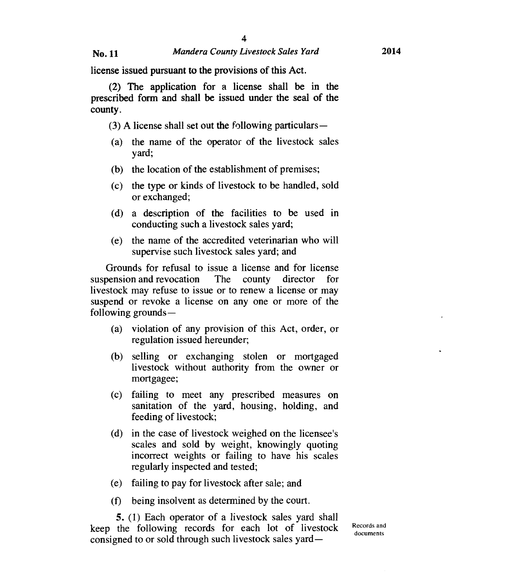**license issued pursuant to the provisions of this Act.** 

**(2) The application for a license shall be in the prescribed form and shall be issued under the seal of the county.** 

**(3) A license shall set out the following particulars** —

- (a) the name of the operator of the livestock sales yard;
- (b) the location of the establishment of premises;
- (c) the type or kinds of livestock to be handled, sold or exchanged;
- (d) a description of the facilities to be used in conducting such a livestock sales yard;
- (e) the name of the accredited veterinarian who will supervise such livestock sales yard; and

Grounds for refusal to issue a license and for license suspension and revocation The county director for livestock may refuse to issue or to renew a license or may suspend or revoke a license on any one or more of the following grounds —

- (a) violation of any provision of this Act, order, or regulation issued hereunder;
- (b) selling or exchanging stolen or mortgaged livestock without authority from the owner or mortgagee;
- (c) failing to meet any prescribed measures on sanitation of the yard, housing, holding, and feeding of livestock;
- (d) in the case of livestock weighed on the licensee's scales and sold by weight, knowingly quoting incorrect weights or failing to have his scales regularly inspected and tested;
- (e) failing to pay for livestock after sale; and
- (f) being insolvent as determined by the court.

**5.** (1) Each operator of **a** livestock sales yard shall keep the following records for each lot of livestock consigned to or sold through such livestock sales yard—

Records and documents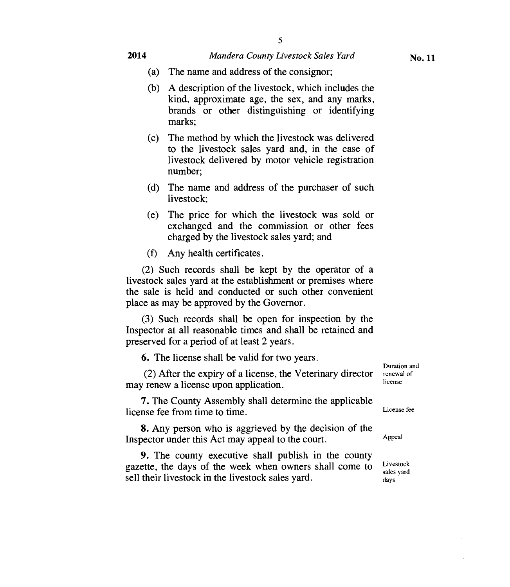#### **2014** *Mandera County Livestock Sales Yard*

- (a) The name and address of the consignor;
- (b) A description of the livestock, which includes the kind, approximate age, the sex, and any marks, brands or other distinguishing or identifying marks;
- (c) The method by which the livestock was delivered to the livestock sales yard and, in the case of livestock delivered by motor vehicle registration number;
- (d) The name and address of the purchaser of such livestock;
- (e) The price for which the livestock was sold or exchanged and the commission or other fees charged by the livestock sales yard; and

(f) Any health certificates.

(2) Such records shall be kept by the operator of a livestock sales yard at the establishment or premises where the sale is held and conducted or such other convenient place as may be approved by the Governor.

(3) Such records shall be open for inspection by the Inspector at all reasonable times and shall be retained and preserved for a period of at least 2 years.

6. The license shall be valid for two years.

(2) After the expiry of a license, the Veterinary director may renew a license upon application.

7. The County Assembly shall determine the applicable license fee from time to time.

8. Any person who is aggrieved by the decision of the Inspector under this Act may appeal to the court.

9. The county executive shall publish in the county gazette, the days of the week when owners shall come to sell their livestock in the livestock sales yard.

Duration and renewal of license

License fee

Appeal

Livestock sales yard days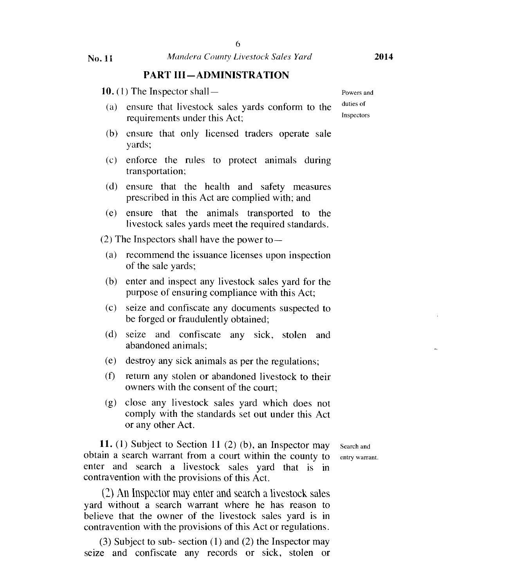#### PART III—ADMINISTRATION

- 10. (1) The Inspector shall— Powers and
- (a) ensure that livestock sales yards conform to the  $\frac{du \text{ties of}}{\text{lines of}}$ requirements under this Act;
- (b) ensure that only licensed traders operate sale yards;
- (c) enforce the rules to protect animals during transportation;
- (d) ensure that the health and safety measures prescribed in this Act are complied with; and
- (e) ensure that the animals transported to the livestock sales yards meet the required standards.

 $(2)$  The Inspectors shall have the power to —

- (a) recommend the issuance licenses upon inspection of the sale yards;
- (b) enter and inspect any livestock sales yard for the purpose of ensuring compliance with this Act;
- (c) seize and confiscate any documents suspected to be forged or fraudulently obtained;
- (d) seize and confiscate any sick, stolen and abandoned animals;
- (e) destroy any sick animals as per the regulations;
- (f) return any stolen or abandoned livestock to their owners with the consent of the court;
- (g) close any livestock sales yard which does not comply with the standards set out under this Act or any other Act.

**11.** (1) Subject to Section 11 (2) (b), an Inspector may search and obtain a search warrant from a court within the county to entry warrant. enter and search a livestock sales yard that is in contravention with the provisions of this Act.

(2)An Inspector may enter and search a livestock sales yard without a search warrant where he has reason to believe that the owner of the livestock sales yard is in contravention with the provisions of this Act or regulations.

(3) Subject to sub- section **(1)** and (2) the Inspector may seize and confiscate any records or sick, stolen or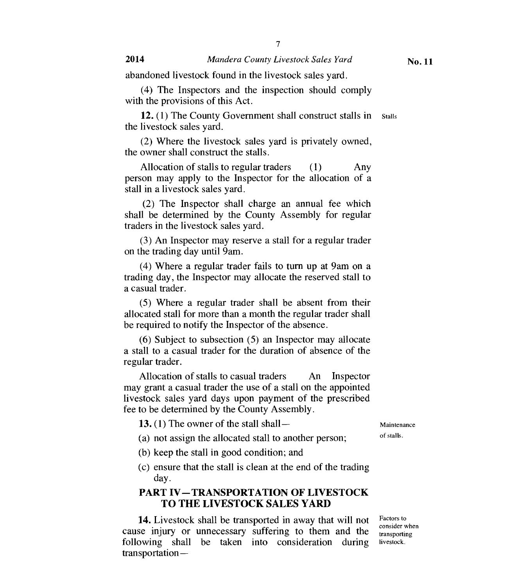abandoned livestock found in the livestock sales yard.

(4) The Inspectors and the inspection should comply with the provisions of this Act.

**12.** (1) The County Government shall construct stalls in stalls the livestock sales yard.

(2) Where the livestock sales yard is privately owned, the owner shall construct the stalls.

Allocation of stalls to regular traders (1) Any person may apply to the Inspector for the allocation of a stall in a livestock sales yard.

(2) The Inspector shall charge an annual fee which shall be determined by the County Assembly for regular traders in the livestock sales yard.

(3) An Inspector may reserve a stall for a regular trader on the trading day until 9am.

(4) Where a regular trader fails to turn up at 9am on a trading day, the Inspector may allocate the reserved stall to a casual trader.

(5) Where a regular trader shall be absent from their allocated stall for more than a month the regular trader shall be required to notify the Inspector of the absence.

(6) Subject to subsection (5) an Inspector may allocate a stall to a casual trader for the duration of absence of the regular trader.

Allocation of stalls to casual traders An Inspector may grant a casual trader the use of a stall on the appointed livestock sales yard days upon payment of the prescribed fee to be determined by the County Assembly.

**13.** (1) The owner of the stall shall — Maintenance

- (a) not assign the allocated stall to another person; of stalls.
- (b) keep the stall in good condition; and
- (c) ensure that the stall is clean at the end of the trading day.

## **PART IV—TRANSPORTATION OF LIVESTOCK TO THE LIVESTOCK SALES YARD**

cause injury or unnecessary suffering to them and the **14.** Livestock shall be transported in away that will not Factors to consider when following shall be taken into consideration during livestock. transportation —

Factors to transporting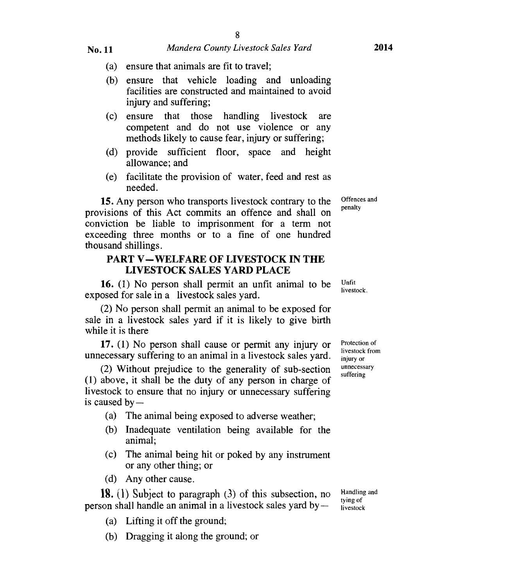- (a) ensure that animals are fit to travel;
- (b) ensure that vehicle loading and unloading facilities are constructed and maintained to avoid injury and suffering;
- (c) ensure that those handling livestock are competent and do not use violence or any methods likely to cause fear, injury or suffering;
- (d) provide sufficient floor, space and height allowance; and
- (e) facilitate the provision of water, feed and rest as needed.

15. Any person who transports livestock contrary to the provisions of this Act commits an offence and shall on conviction be liable to imprisonment for a term not exceeding three months or to a fine of one hundred thousand shillings.

#### **PART V—WELFARE OF LIVESTOCK IN THE LIVESTOCK SALES YARD PLACE**

16. (1) No person shall permit an unfit animal to be exposed for sale in a livestock sales yard.

(2) No person shall permit an animal to be exposed for sale in a livestock sales yard if it is likely to give birth while it is there

17. (1) No person shall cause or permit any injury or unnecessary suffering to an animal in a livestock sales yard.

(2) Without prejudice to the generality of sub-section (1) above, it shall be the duty of any person in charge of livestock to ensure that no injury or unnecessary suffering is caused by —

- (a) The animal being exposed to adverse weather;
- (b) Inadequate ventilation being available for the animal;
- (c) The animal being hit or poked by any instrument or any other thing; or
- (d) Any other cause.

**18.** (1) Subject to paragraph  $(3)$  of this subsection, no person shall handle an animal in a livestock sales yard by —

- (a) Lifting it off the ground;
- (b) Dragging it along the ground; or

Protection of livestock from injury or unnecessary suffering

Offences and penalty

Unfit livestock.

Handling and tying of livestock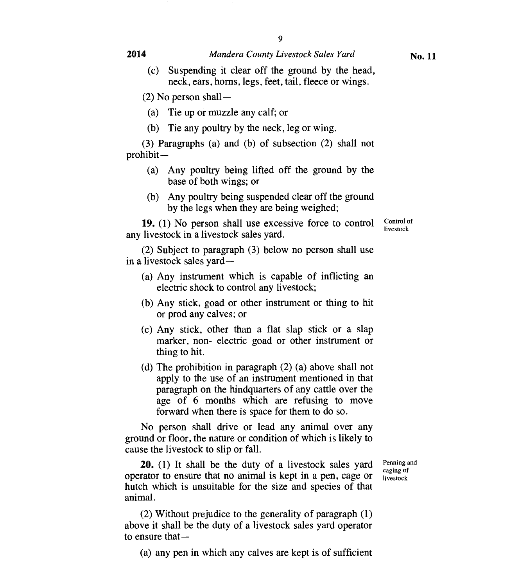#### **2014** *Mandera County Livestock Sales Yard*

(c) Suspending it clear off the ground by the head, neck, ears, horns, legs, feet, tail, fleece or wings.

 $(2)$  No person shall —

(a) Tie up or muzzle any calf; or

(b) Tie any poultry by the neck, leg or wing.

(3) Paragraphs (a) and (b) of subsection (2) shall not prohibit —

- (a) Any poultry being lifted off the ground by the base of both wings; or
- (b) Any poultry being suspended clear off the ground by the legs when they are being weighed;

**19.** (1) No person shall use excessive force to control any livestock in a livestock sales yard.

(2) Subject to paragraph (3) below no person shall use in a livestock sales yard —

- (a) Any instrument which is capable of inflicting an electric shock to control any livestock;
- (b) Any stick, goad or other instrument or thing to hit or prod any calves; or
- (c) Any stick, other than a flat slap stick or a slap marker, non- electric goad or other instrument or thing to hit.
- (d) The prohibition in paragraph (2) (a) above shall not apply to the use of an instrument mentioned in that paragraph on the hindquarters of any cattle over the age of 6 months which are refusing to move forward when there is space for them to do so.

No person shall drive or lead any animal over any ground or floor, the nature or condition of which is likely to cause the livestock to slip or fall.

**20.** (1) It shall be the duty of a livestock sales yard operator to ensure that no animal is kept in a pen, cage or hutch which is unsuitable for the size and species of that animal.

Penning and caging of livestock

(2) Without prejudice to the generality of paragraph (1) above it shall be the duty of a livestock sales yard operator to ensure that—

(a) any pen in which any calves are kept is of sufficient

Control of livestock

**No. 11**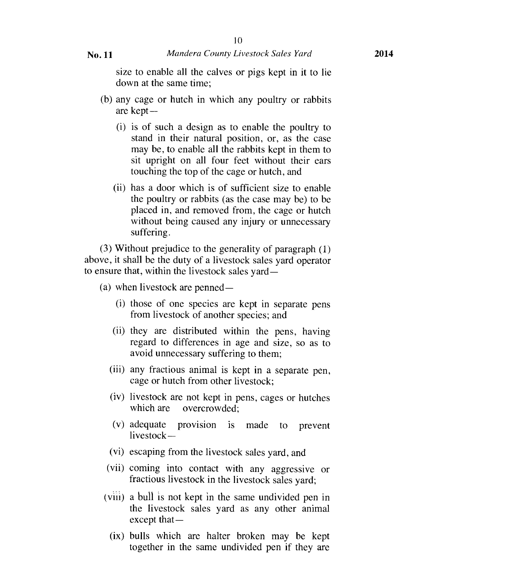size to enable all the calves or pigs kept in it to lie down at the same time;

- (b) any cage or hutch in which any poultry or rabbits are kept —
	- (i) is of such a design as to enable the poultry to stand in their natural position, or, as the case may be, to enable all the rabbits kept in them to sit upright on all four feet without their ears touching the top of the cage or hutch, and
	- (ii) has a door which is of sufficient size to enable the poultry or rabbits (as the case may be) to be placed in, and removed from, the cage or hutch without being caused any injury or unnecessary suffering.

(3) Without prejudice to the generality of paragraph (1) above, it shall be the duty of a livestock sales yard operator to ensure that, within the livestock sales yard —

(a) when livestock are penned —

- (i) those of one species are kept in separate pens from livestock of another species; and
- (ii) they are distributed within the pens, having regard to differences in age and size, so as to avoid unnecessary suffering to them;
- (iii) any fractious animal is kept in a separate pen, cage or hutch from other livestock;
- (iv) livestock are not kept in pens, cages or hutches which are overcrowded:
- (v) adequate provision is made to prevent livestock —
- (vi) escaping from the livestock sales yard, and
- (vii) coming into contact with any aggressive or fractious livestock in the livestock sales yard;
- (viii) a bull is not kept in the same undivided pen in the livestock sales yard as any other animal except that —
	- (ix) bulls which are halter broken may be kept together in the same undivided pen if they are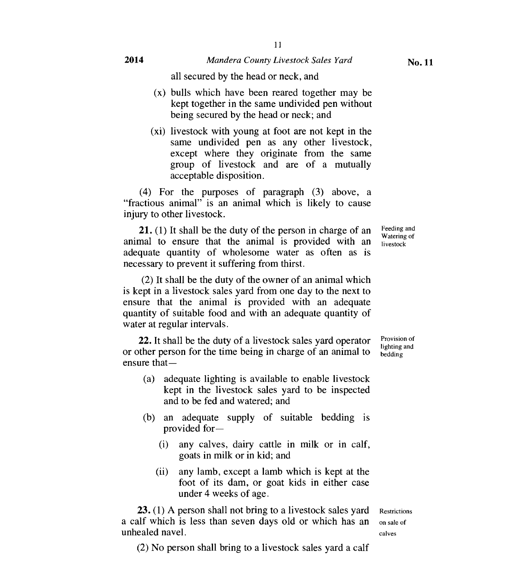- (x) bulls which have been reared together may be kept together in the same undivided pen without being secured by the head or neck; and
- (xi) livestock with young at foot are not kept in the same undivided pen as any other livestock, except where they originate from the same group of livestock and are of a mutually acceptable disposition.

(4) For the purposes of paragraph (3) above, a "fractious animal" is an animal which is likely to cause injury to other livestock.

21. (1) It shall be the duty of the person in charge of an animal to ensure that the animal is provided with an adequate quantity of wholesome water as often as is necessary to prevent it suffering from thirst.

(2) It shall be the duty of the owner of an animal which is kept in a livestock sales yard from one day to the next to ensure that the animal is provided with an adequate quantity of suitable food and with an adequate quantity of water at regular intervals.

22. It shall be the duty of a livestock sales yard operator or other person for the time being in charge of an animal to ensure that—

- (a) adequate lighting is available to enable livestock kept in the livestock sales yard to be inspected and to be fed and watered; and
- (b) an adequate supply of suitable bedding is provided for—
	- (i) any calves, dairy cattle in milk or in calf, goats in milk or in kid; and
	- (ii) any lamb, except a lamb which is kept at the foot of its dam, or goat kids in either case under 4 weeks of age.

**23.** (1) A person shall not bring to a livestock sales yard Restrictions a calf which is less than seven days old or which has an on sale of unhealed navel.  $\qquad \qquad \text{caives}$ 

(2) No person shall bring to a livestock sales yard a calf

Provision of lighting and bedding

Feeding and Watering of livestock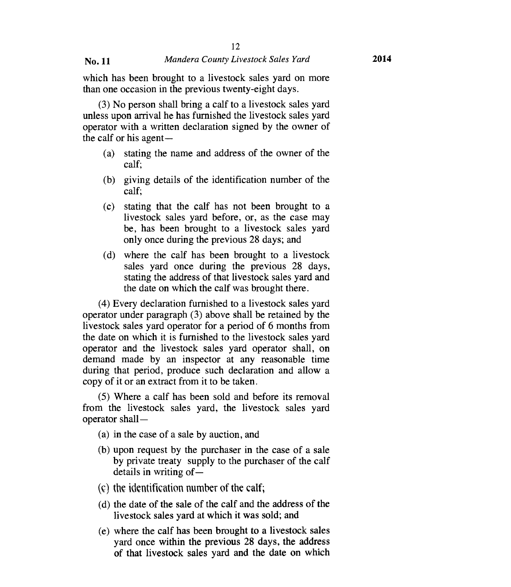#### No. 11 *Mandera County Livestock Sales Yard* **2014**

which has been brought to a livestock sales yard on more than one occasion in the previous twenty-eight days.

(3) No person shall bring a calf to a livestock sales yard unless upon arrival he has furnished the livestock sales yard operator with a written declaration signed by the owner of the calf or his agent

- (a) stating the name and address of the owner of the calf;
- (b) giving details of the identification number of the calf;
- (c) stating that the calf has not been brought to a livestock sales yard before, or, as the case may be, has been brought to a livestock sales yard only once during the previous 28 days; and
- (d) where the calf has been brought to a livestock sales yard once during the previous 28 days, stating the address of that livestock sales yard and the date on which the calf was brought there.

(4) Every declaration furnished to a livestock sales yard operator under paragraph (3) above shall be retained by the livestock sales yard operator for a period of 6 months from the date on which it is furnished to the livestock sales yard operator and the livestock sales yard operator shall, on demand made by an inspector at any reasonable time during that period, produce such declaration and allow a copy of it or an extract from it to be taken.

(5) Where a calf has been sold and before its removal from the livestock sales yard, the livestock sales yard operator shall —

- (a) in the case of a sale by auction, and
- (b) upon request by the purchaser in the case of a sale by private treaty supply to the purchaser of the calf details in writing of
- (c) the identification number of the calf;
- (d) the date of the sale of the calf and the address of the livestock sales yard at which it was sold; and
- (e) where the calf has been brought to a livestock sales yard once within the previous 28 days, the address of that livestock sales yard and the date on which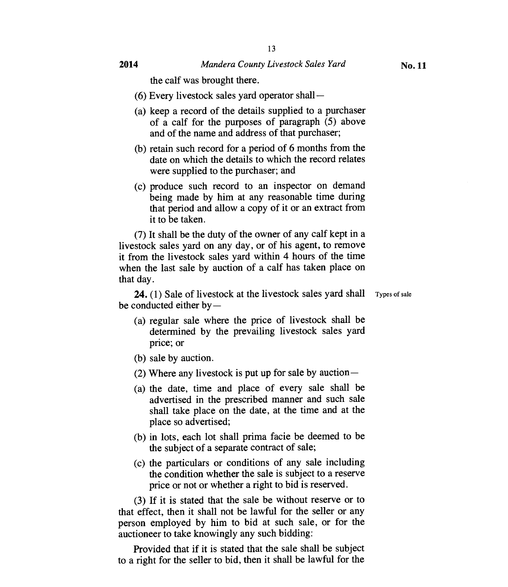the calf was brought there.

- (6) Every livestock sales yard operator shall —
- (a) keep a record of the details supplied to a purchaser of a calf for the purposes of paragraph (5) above and of the name and address of that purchaser;
- (b) retain such record for a period of 6 months from the date on which the details to which the record relates were supplied to the purchaser; and
- (c) produce such record to an inspector on demand being made by him at any reasonable time during that period and allow a copy of it or an extract from it to be taken.

(7) It shall be the duty of the owner of any calf kept in a livestock sales yard on any day, or of his agent, to remove it from the livestock sales yard within 4 hours of the time when the last sale by auction of a calf has taken place on that day.

**24.** (1) Sale of livestock at the livestock sales yard shall Types of sale be conducted either by —

- 
- (a) regular sale where the price of livestock shall be determined by the prevailing livestock sales yard price; or
- (b) sale by auction.
- (2) Where any livestock is put up for sale by auction —
- (a) the date, time and place of every sale shall be advertised in the prescribed manner and such sale shall take place on the date, at the time and at the place so advertised;
- (b) in lots, each lot shall prima facie be deemed to be the subject of a separate contract of sale;
- (c) the particulars or conditions of any sale including the condition whether the sale is subject to a reserve price or not or whether a right to bid is reserved.

(3) If it is stated that the sale be without reserve or to that effect, then it shall not be lawful for the seller or any person employed by him to bid at such sale, or for the auctioneer to take knowingly any such bidding:

Provided that if it is stated that the sale shall be subject to a right for the seller to bid, then it shall be lawful for the